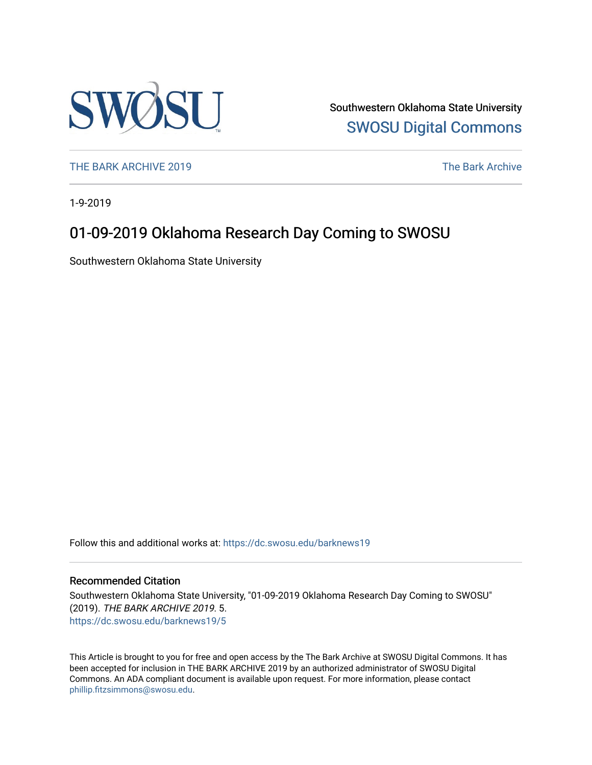

Southwestern Oklahoma State University [SWOSU Digital Commons](https://dc.swosu.edu/) 

[THE BARK ARCHIVE 2019](https://dc.swosu.edu/barknews19) The Bark Archive

1-9-2019

### 01-09-2019 Oklahoma Research Day Coming to SWOSU

Southwestern Oklahoma State University

Follow this and additional works at: [https://dc.swosu.edu/barknews19](https://dc.swosu.edu/barknews19?utm_source=dc.swosu.edu%2Fbarknews19%2F5&utm_medium=PDF&utm_campaign=PDFCoverPages)

#### Recommended Citation

Southwestern Oklahoma State University, "01-09-2019 Oklahoma Research Day Coming to SWOSU" (2019). THE BARK ARCHIVE 2019. 5. [https://dc.swosu.edu/barknews19/5](https://dc.swosu.edu/barknews19/5?utm_source=dc.swosu.edu%2Fbarknews19%2F5&utm_medium=PDF&utm_campaign=PDFCoverPages) 

This Article is brought to you for free and open access by the The Bark Archive at SWOSU Digital Commons. It has been accepted for inclusion in THE BARK ARCHIVE 2019 by an authorized administrator of SWOSU Digital Commons. An ADA compliant document is available upon request. For more information, please contact [phillip.fitzsimmons@swosu.edu](mailto:phillip.fitzsimmons@swosu.edu).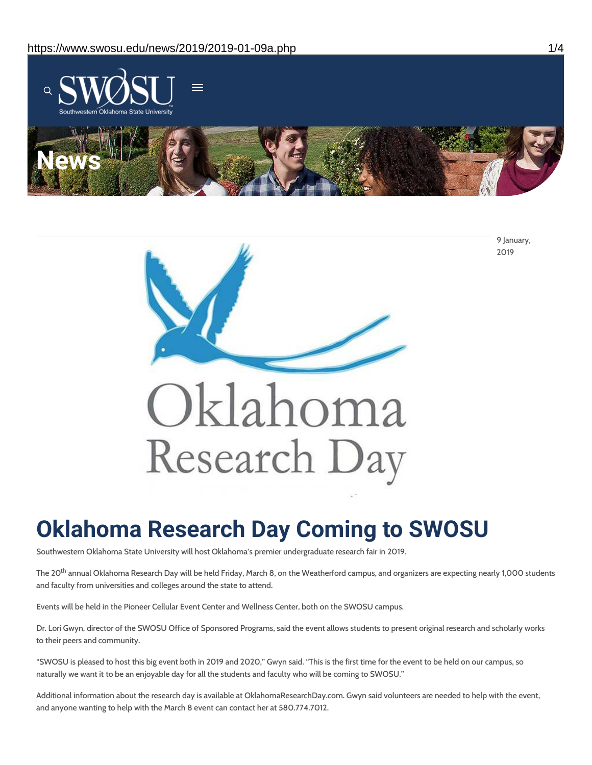



# **Oklahoma Research Day Coming to SWOSU**

Southwestern Oklahoma State University will host Oklahoma's premier undergraduate research fair in 2019.

The 20 $^{\rm th}$  annual Oklahoma Research Day will be held Friday, March 8, on the Weatherford campus, and organizers are expecting nearly 1,000 students and faculty from universities and colleges around the state to attend.

Events will be held in the Pioneer Cellular Event Center and Wellness Center, both on the SWOSU campus.

Dr. Lori Gwyn, director of the SWOSU Office of Sponsored Programs, said the event allows students to present original research and scholarly works to their peers and community.

"SWOSU is pleased to host this big event both in 2019 and 2020," Gwyn said. "This is the first time for the event to be held on our campus, so naturally we want it to be an enjoyable day for all the students and faculty who will be coming to SWOSU."

Additional information about the research day is available at OklahomaResearchDay.com. Gwyn said volunteers are needed to help with the event, and anyone wanting to help with the March 8 event can contact her at 580.774.7012.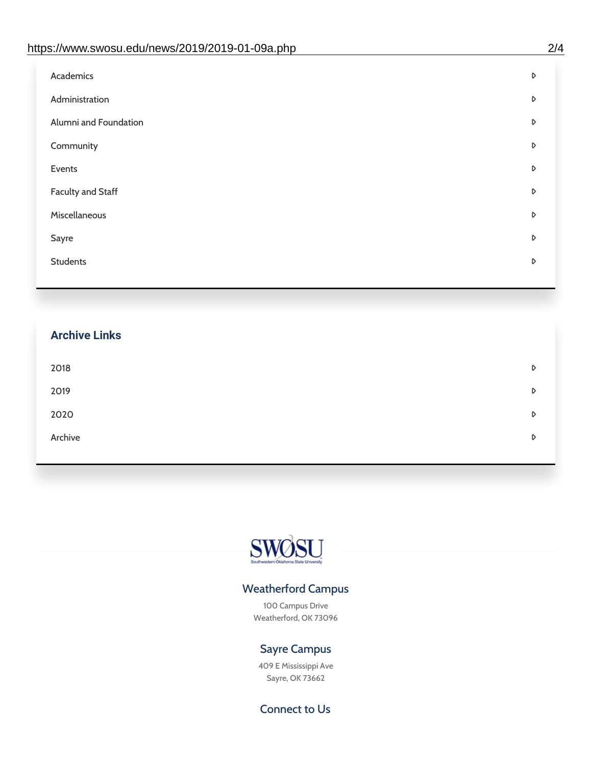| https://www.swosu.edu/news/2019/2019-01-09a.php | 2/4 |
|-------------------------------------------------|-----|
| <b>Academics</b>                                | D   |
| Administration                                  | D   |
| Alumni and Foundation                           | D   |
| Community                                       | D   |
| Events                                          | D   |
| <b>Faculty and Staff</b>                        | D   |
| Miscellaneous                                   | D   |
| Sayre                                           | D   |
| <b>Students</b>                                 | D   |

## **Archive Links**  $2018$  $2019$ [2020](https://www.swosu.edu/news/2020/index.php)  $\blacksquare$ [Archive](https://dc.swosu.edu/bark/) **Archive Archive Archive Archive Archive** Archive Archive Archive Archive Archive Archive Archive Archive



### Weatherford Campus

100 Campus Drive Weatherford, OK 73096

### Sayre Campus

409 E Mississippi Ave Sayre, OK 73662

Connect to Us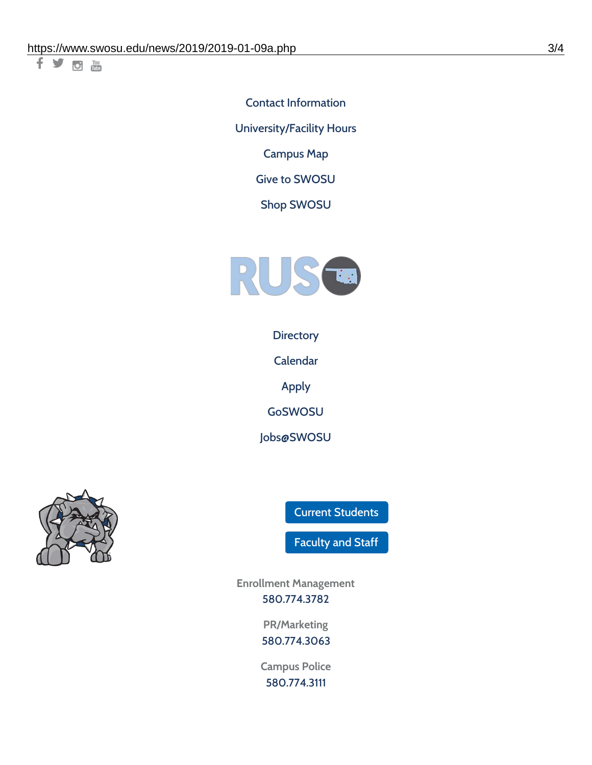千岁回调

Contact [Information](https://www.swosu.edu/about/contact.php) [University/Facility](https://www.swosu.edu/about/operating-hours.php) Hours [Campus](https://map.concept3d.com/?id=768#!ct/10964,10214,10213,10212,10205,10204,10203,10202,10136,10129,10128,0,31226,10130,10201,10641,0) Map

Give to [SWOSU](https://standingfirmly.com/donate)

Shop [SWOSU](https://shopswosu.merchorders.com/)



**[Directory](https://www.swosu.edu/directory/index.php)** 

[Calendar](https://eventpublisher.dudesolutions.com/swosu/)

[Apply](https://www.swosu.edu/admissions/apply-to-swosu.php)

[GoSWOSU](https://qlsso.quicklaunchsso.com/home/1267)

[Jobs@SWOSU](https://swosu.csod.com/ux/ats/careersite/1/home?c=swosu)



Current [Students](https://bulldog.swosu.edu/index.php)

[Faculty](https://bulldog.swosu.edu/faculty-staff/index.php) and Staff

**Enrollment Management** [580.774.3782](tel:5807743782)

> **PR/Marketing** [580.774.3063](tel:5807743063)

**Campus Police** [580.774.3111](tel:5807743111)